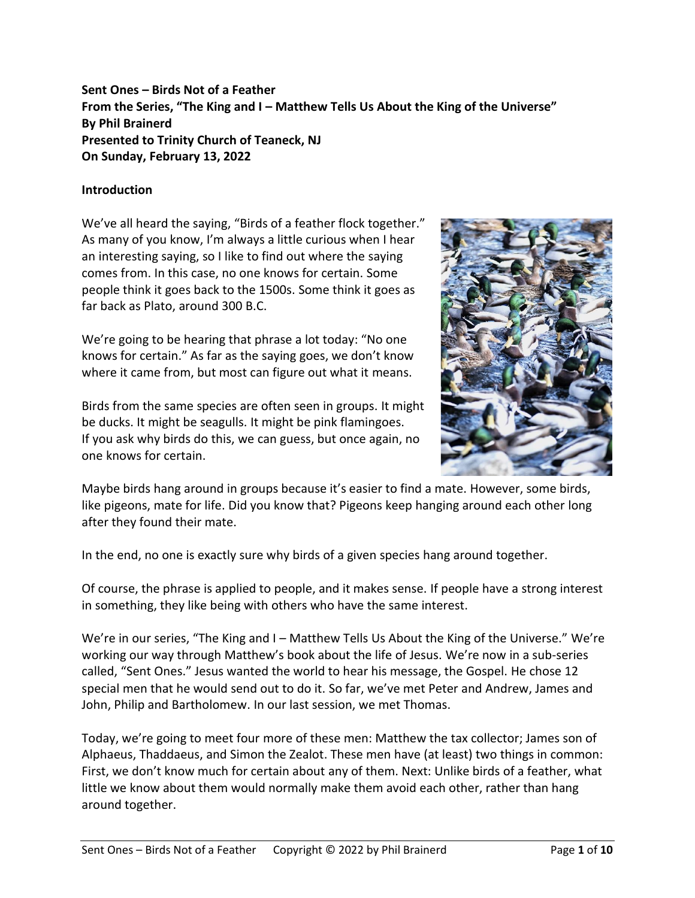# **Sent Ones – Birds Not of a Feather From the Series, "The King and I – Matthew Tells Us About the King of the Universe" By Phil Brainerd Presented to Trinity Church of Teaneck, NJ On Sunday, February 13, 2022**

## **Introduction**

We've all heard the saying, "Birds of a feather flock together." As many of you know, I'm always a little curious when I hear an interesting saying, so I like to find out where the saying comes from. In this case, no one knows for certain. Some people think it goes back to the 1500s. Some think it goes as far back as Plato, around 300 B.C.

We're going to be hearing that phrase a lot today: "No one knows for certain." As far as the saying goes, we don't know where it came from, but most can figure out what it means.

Birds from the same species are often seen in groups. It might be ducks. It might be seagulls. It might be pink flamingoes. If you ask why birds do this, we can guess, but once again, no one knows for certain.



Maybe birds hang around in groups because it's easier to find a mate. However, some birds, like pigeons, mate for life. Did you know that? Pigeons keep hanging around each other long after they found their mate.

In the end, no one is exactly sure why birds of a given species hang around together.

Of course, the phrase is applied to people, and it makes sense. If people have a strong interest in something, they like being with others who have the same interest.

We're in our series, "The King and I – Matthew Tells Us About the King of the Universe." We're working our way through Matthew's book about the life of Jesus. We're now in a sub-series called, "Sent Ones." Jesus wanted the world to hear his message, the Gospel. He chose 12 special men that he would send out to do it. So far, we've met Peter and Andrew, James and John, Philip and Bartholomew. In our last session, we met Thomas.

Today, we're going to meet four more of these men: Matthew the tax collector; James son of Alphaeus, Thaddaeus, and Simon the Zealot. These men have (at least) two things in common: First, we don't know much for certain about any of them. Next: Unlike birds of a feather, what little we know about them would normally make them avoid each other, rather than hang around together.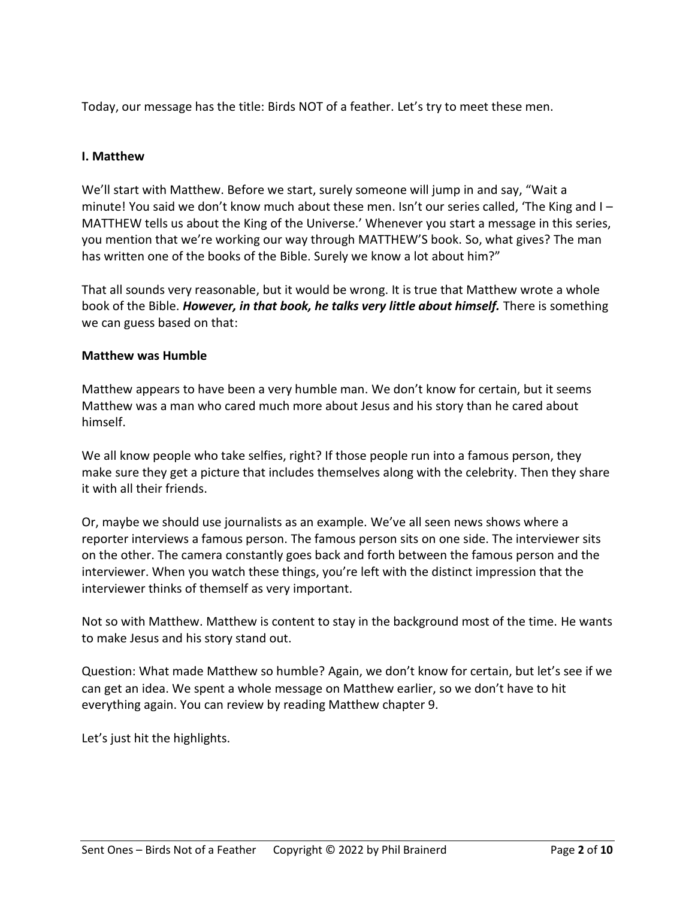Today, our message has the title: Birds NOT of a feather. Let's try to meet these men.

## **I. Matthew**

We'll start with Matthew. Before we start, surely someone will jump in and say, "Wait a minute! You said we don't know much about these men. Isn't our series called, 'The King and I – MATTHEW tells us about the King of the Universe.' Whenever you start a message in this series, you mention that we're working our way through MATTHEW'S book. So, what gives? The man has written one of the books of the Bible. Surely we know a lot about him?"

That all sounds very reasonable, but it would be wrong. It is true that Matthew wrote a whole book of the Bible. *However, in that book, he talks very little about himself.* There is something we can guess based on that:

#### **Matthew was Humble**

Matthew appears to have been a very humble man. We don't know for certain, but it seems Matthew was a man who cared much more about Jesus and his story than he cared about himself.

We all know people who take selfies, right? If those people run into a famous person, they make sure they get a picture that includes themselves along with the celebrity. Then they share it with all their friends.

Or, maybe we should use journalists as an example. We've all seen news shows where a reporter interviews a famous person. The famous person sits on one side. The interviewer sits on the other. The camera constantly goes back and forth between the famous person and the interviewer. When you watch these things, you're left with the distinct impression that the interviewer thinks of themself as very important.

Not so with Matthew. Matthew is content to stay in the background most of the time. He wants to make Jesus and his story stand out.

Question: What made Matthew so humble? Again, we don't know for certain, but let's see if we can get an idea. We spent a whole message on Matthew earlier, so we don't have to hit everything again. You can review by reading Matthew chapter 9.

Let's just hit the highlights.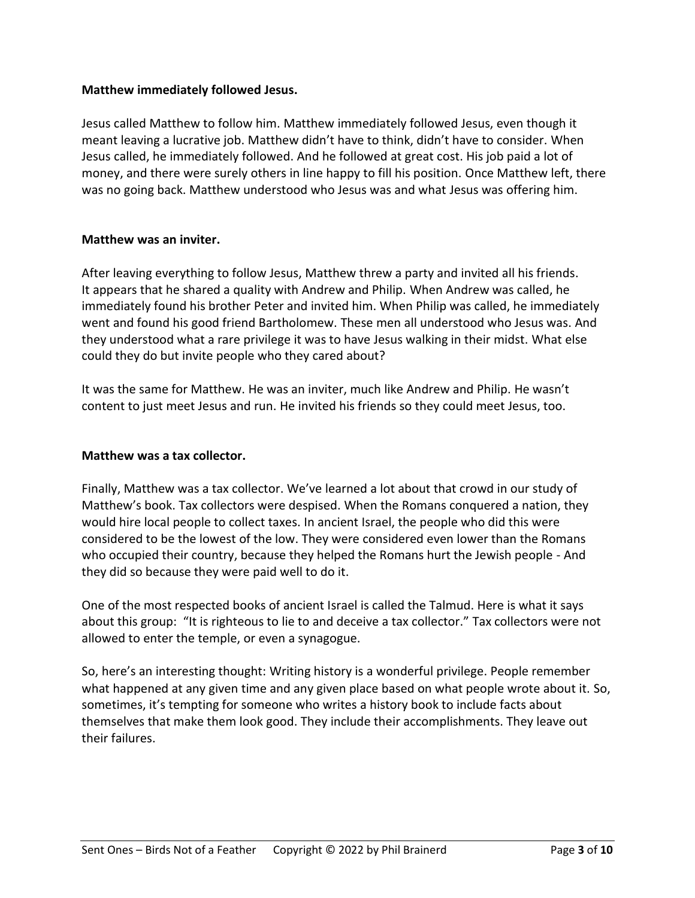### **Matthew immediately followed Jesus.**

Jesus called Matthew to follow him. Matthew immediately followed Jesus, even though it meant leaving a lucrative job. Matthew didn't have to think, didn't have to consider. When Jesus called, he immediately followed. And he followed at great cost. His job paid a lot of money, and there were surely others in line happy to fill his position. Once Matthew left, there was no going back. Matthew understood who Jesus was and what Jesus was offering him.

## **Matthew was an inviter.**

After leaving everything to follow Jesus, Matthew threw a party and invited all his friends. It appears that he shared a quality with Andrew and Philip. When Andrew was called, he immediately found his brother Peter and invited him. When Philip was called, he immediately went and found his good friend Bartholomew. These men all understood who Jesus was. And they understood what a rare privilege it was to have Jesus walking in their midst. What else could they do but invite people who they cared about?

It was the same for Matthew. He was an inviter, much like Andrew and Philip. He wasn't content to just meet Jesus and run. He invited his friends so they could meet Jesus, too.

#### **Matthew was a tax collector.**

Finally, Matthew was a tax collector. We've learned a lot about that crowd in our study of Matthew's book. Tax collectors were despised. When the Romans conquered a nation, they would hire local people to collect taxes. In ancient Israel, the people who did this were considered to be the lowest of the low. They were considered even lower than the Romans who occupied their country, because they helped the Romans hurt the Jewish people - And they did so because they were paid well to do it.

One of the most respected books of ancient Israel is called the Talmud. Here is what it says about this group: "It is righteous to lie to and deceive a tax collector." Tax collectors were not allowed to enter the temple, or even a synagogue.

So, here's an interesting thought: Writing history is a wonderful privilege. People remember what happened at any given time and any given place based on what people wrote about it. So, sometimes, it's tempting for someone who writes a history book to include facts about themselves that make them look good. They include their accomplishments. They leave out their failures.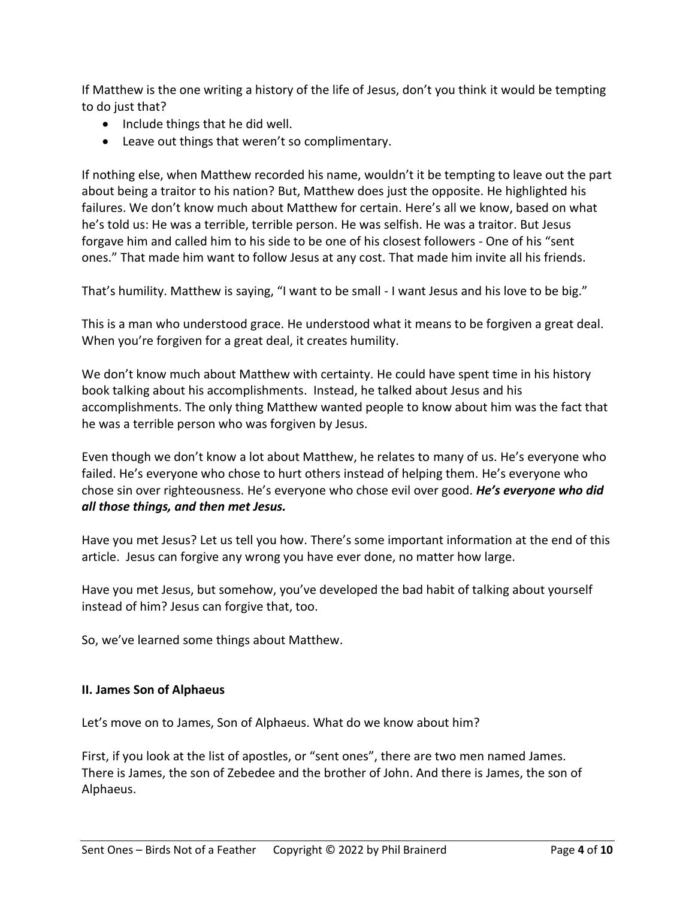If Matthew is the one writing a history of the life of Jesus, don't you think it would be tempting to do just that?

- Include things that he did well.
- Leave out things that weren't so complimentary.

If nothing else, when Matthew recorded his name, wouldn't it be tempting to leave out the part about being a traitor to his nation? But, Matthew does just the opposite. He highlighted his failures. We don't know much about Matthew for certain. Here's all we know, based on what he's told us: He was a terrible, terrible person. He was selfish. He was a traitor. But Jesus forgave him and called him to his side to be one of his closest followers - One of his "sent ones." That made him want to follow Jesus at any cost. That made him invite all his friends.

That's humility. Matthew is saying, "I want to be small - I want Jesus and his love to be big."

This is a man who understood grace. He understood what it means to be forgiven a great deal. When you're forgiven for a great deal, it creates humility.

We don't know much about Matthew with certainty. He could have spent time in his history book talking about his accomplishments. Instead, he talked about Jesus and his accomplishments. The only thing Matthew wanted people to know about him was the fact that he was a terrible person who was forgiven by Jesus.

Even though we don't know a lot about Matthew, he relates to many of us. He's everyone who failed. He's everyone who chose to hurt others instead of helping them. He's everyone who chose sin over righteousness. He's everyone who chose evil over good. *He's everyone who did all those things, and then met Jesus.*

Have you met Jesus? Let us tell you how. There's some important information at the end of this article. Jesus can forgive any wrong you have ever done, no matter how large.

Have you met Jesus, but somehow, you've developed the bad habit of talking about yourself instead of him? Jesus can forgive that, too.

So, we've learned some things about Matthew.

#### **II. James Son of Alphaeus**

Let's move on to James, Son of Alphaeus. What do we know about him?

First, if you look at the list of apostles, or "sent ones", there are two men named James. There is James, the son of Zebedee and the brother of John. And there is James, the son of Alphaeus.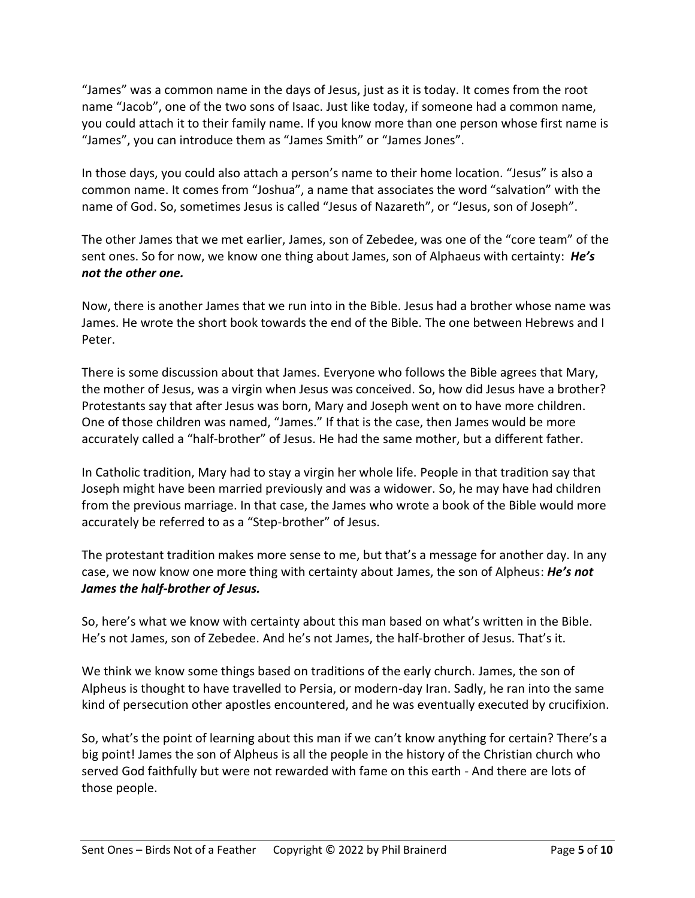"James" was a common name in the days of Jesus, just as it is today. It comes from the root name "Jacob", one of the two sons of Isaac. Just like today, if someone had a common name, you could attach it to their family name. If you know more than one person whose first name is "James", you can introduce them as "James Smith" or "James Jones".

In those days, you could also attach a person's name to their home location. "Jesus" is also a common name. It comes from "Joshua", a name that associates the word "salvation" with the name of God. So, sometimes Jesus is called "Jesus of Nazareth", or "Jesus, son of Joseph".

The other James that we met earlier, James, son of Zebedee, was one of the "core team" of the sent ones. So for now, we know one thing about James, son of Alphaeus with certainty: *He's not the other one.*

Now, there is another James that we run into in the Bible. Jesus had a brother whose name was James. He wrote the short book towards the end of the Bible. The one between Hebrews and I Peter.

There is some discussion about that James. Everyone who follows the Bible agrees that Mary, the mother of Jesus, was a virgin when Jesus was conceived. So, how did Jesus have a brother? Protestants say that after Jesus was born, Mary and Joseph went on to have more children. One of those children was named, "James." If that is the case, then James would be more accurately called a "half-brother" of Jesus. He had the same mother, but a different father.

In Catholic tradition, Mary had to stay a virgin her whole life. People in that tradition say that Joseph might have been married previously and was a widower. So, he may have had children from the previous marriage. In that case, the James who wrote a book of the Bible would more accurately be referred to as a "Step-brother" of Jesus.

The protestant tradition makes more sense to me, but that's a message for another day. In any case, we now know one more thing with certainty about James, the son of Alpheus: *He's not James the half-brother of Jesus.*

So, here's what we know with certainty about this man based on what's written in the Bible. He's not James, son of Zebedee. And he's not James, the half-brother of Jesus. That's it.

We think we know some things based on traditions of the early church. James, the son of Alpheus is thought to have travelled to Persia, or modern-day Iran. Sadly, he ran into the same kind of persecution other apostles encountered, and he was eventually executed by crucifixion.

So, what's the point of learning about this man if we can't know anything for certain? There's a big point! James the son of Alpheus is all the people in the history of the Christian church who served God faithfully but were not rewarded with fame on this earth - And there are lots of those people.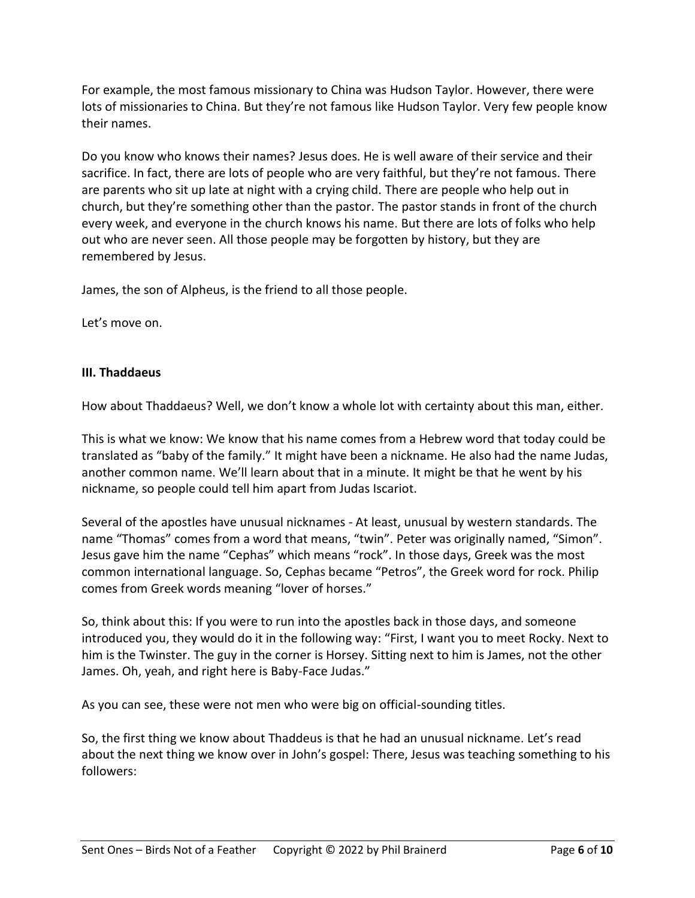For example, the most famous missionary to China was Hudson Taylor. However, there were lots of missionaries to China. But they're not famous like Hudson Taylor. Very few people know their names.

Do you know who knows their names? Jesus does. He is well aware of their service and their sacrifice. In fact, there are lots of people who are very faithful, but they're not famous. There are parents who sit up late at night with a crying child. There are people who help out in church, but they're something other than the pastor. The pastor stands in front of the church every week, and everyone in the church knows his name. But there are lots of folks who help out who are never seen. All those people may be forgotten by history, but they are remembered by Jesus.

James, the son of Alpheus, is the friend to all those people.

Let's move on.

## **III. Thaddaeus**

How about Thaddaeus? Well, we don't know a whole lot with certainty about this man, either.

This is what we know: We know that his name comes from a Hebrew word that today could be translated as "baby of the family." It might have been a nickname. He also had the name Judas, another common name. We'll learn about that in a minute. It might be that he went by his nickname, so people could tell him apart from Judas Iscariot.

Several of the apostles have unusual nicknames - At least, unusual by western standards. The name "Thomas" comes from a word that means, "twin". Peter was originally named, "Simon". Jesus gave him the name "Cephas" which means "rock". In those days, Greek was the most common international language. So, Cephas became "Petros", the Greek word for rock. Philip comes from Greek words meaning "lover of horses."

So, think about this: If you were to run into the apostles back in those days, and someone introduced you, they would do it in the following way: "First, I want you to meet Rocky. Next to him is the Twinster. The guy in the corner is Horsey. Sitting next to him is James, not the other James. Oh, yeah, and right here is Baby-Face Judas."

As you can see, these were not men who were big on official-sounding titles.

So, the first thing we know about Thaddeus is that he had an unusual nickname. Let's read about the next thing we know over in John's gospel: There, Jesus was teaching something to his followers: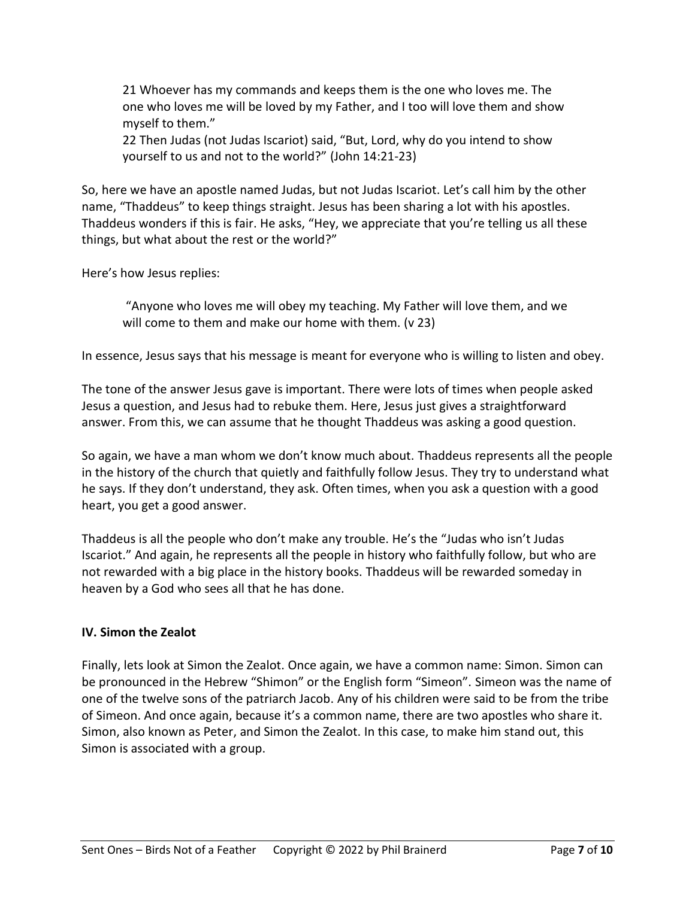21 Whoever has my commands and keeps them is the one who loves me. The one who loves me will be loved by my Father, and I too will love them and show myself to them."

22 Then Judas (not Judas Iscariot) said, "But, Lord, why do you intend to show yourself to us and not to the world?" (John 14:21-23)

So, here we have an apostle named Judas, but not Judas Iscariot. Let's call him by the other name, "Thaddeus" to keep things straight. Jesus has been sharing a lot with his apostles. Thaddeus wonders if this is fair. He asks, "Hey, we appreciate that you're telling us all these things, but what about the rest or the world?"

Here's how Jesus replies:

"Anyone who loves me will obey my teaching. My Father will love them, and we will come to them and make our home with them. (v 23)

In essence, Jesus says that his message is meant for everyone who is willing to listen and obey.

The tone of the answer Jesus gave is important. There were lots of times when people asked Jesus a question, and Jesus had to rebuke them. Here, Jesus just gives a straightforward answer. From this, we can assume that he thought Thaddeus was asking a good question.

So again, we have a man whom we don't know much about. Thaddeus represents all the people in the history of the church that quietly and faithfully follow Jesus. They try to understand what he says. If they don't understand, they ask. Often times, when you ask a question with a good heart, you get a good answer.

Thaddeus is all the people who don't make any trouble. He's the "Judas who isn't Judas Iscariot." And again, he represents all the people in history who faithfully follow, but who are not rewarded with a big place in the history books. Thaddeus will be rewarded someday in heaven by a God who sees all that he has done.

## **IV. Simon the Zealot**

Finally, lets look at Simon the Zealot. Once again, we have a common name: Simon. Simon can be pronounced in the Hebrew "Shimon" or the English form "Simeon". Simeon was the name of one of the twelve sons of the patriarch Jacob. Any of his children were said to be from the tribe of Simeon. And once again, because it's a common name, there are two apostles who share it. Simon, also known as Peter, and Simon the Zealot. In this case, to make him stand out, this Simon is associated with a group.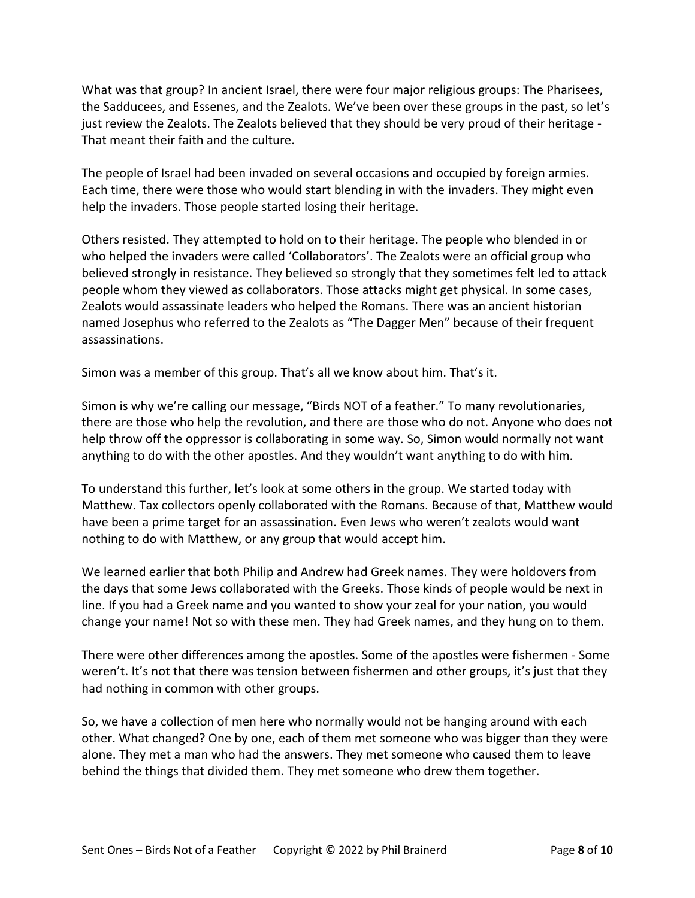What was that group? In ancient Israel, there were four major religious groups: The Pharisees, the Sadducees, and Essenes, and the Zealots. We've been over these groups in the past, so let's just review the Zealots. The Zealots believed that they should be very proud of their heritage - That meant their faith and the culture.

The people of Israel had been invaded on several occasions and occupied by foreign armies. Each time, there were those who would start blending in with the invaders. They might even help the invaders. Those people started losing their heritage.

Others resisted. They attempted to hold on to their heritage. The people who blended in or who helped the invaders were called 'Collaborators'. The Zealots were an official group who believed strongly in resistance. They believed so strongly that they sometimes felt led to attack people whom they viewed as collaborators. Those attacks might get physical. In some cases, Zealots would assassinate leaders who helped the Romans. There was an ancient historian named Josephus who referred to the Zealots as "The Dagger Men" because of their frequent assassinations.

Simon was a member of this group. That's all we know about him. That's it.

Simon is why we're calling our message, "Birds NOT of a feather." To many revolutionaries, there are those who help the revolution, and there are those who do not. Anyone who does not help throw off the oppressor is collaborating in some way. So, Simon would normally not want anything to do with the other apostles. And they wouldn't want anything to do with him.

To understand this further, let's look at some others in the group. We started today with Matthew. Tax collectors openly collaborated with the Romans. Because of that, Matthew would have been a prime target for an assassination. Even Jews who weren't zealots would want nothing to do with Matthew, or any group that would accept him.

We learned earlier that both Philip and Andrew had Greek names. They were holdovers from the days that some Jews collaborated with the Greeks. Those kinds of people would be next in line. If you had a Greek name and you wanted to show your zeal for your nation, you would change your name! Not so with these men. They had Greek names, and they hung on to them.

There were other differences among the apostles. Some of the apostles were fishermen - Some weren't. It's not that there was tension between fishermen and other groups, it's just that they had nothing in common with other groups.

So, we have a collection of men here who normally would not be hanging around with each other. What changed? One by one, each of them met someone who was bigger than they were alone. They met a man who had the answers. They met someone who caused them to leave behind the things that divided them. They met someone who drew them together.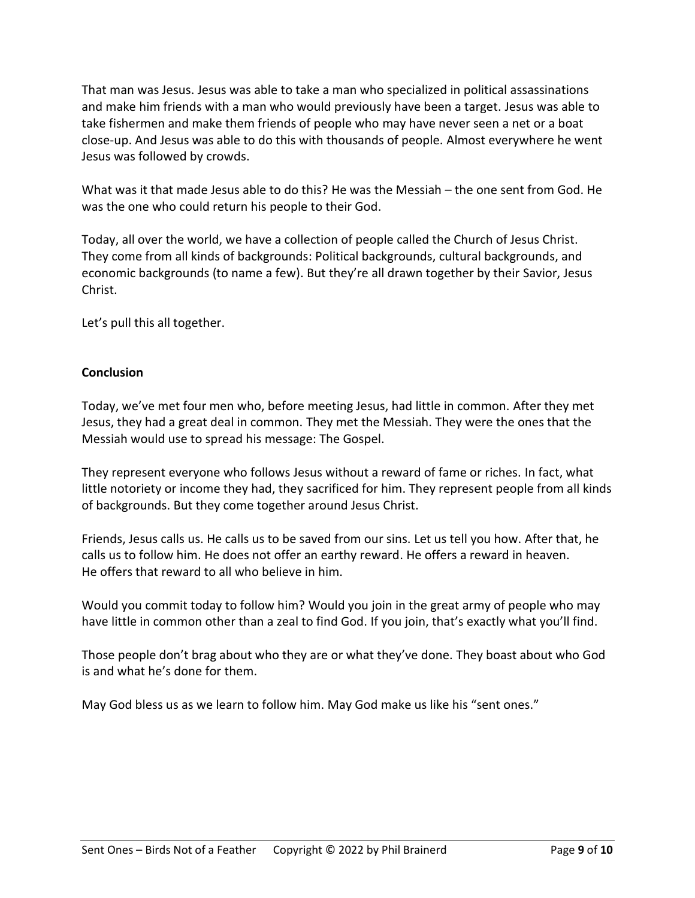That man was Jesus. Jesus was able to take a man who specialized in political assassinations and make him friends with a man who would previously have been a target. Jesus was able to take fishermen and make them friends of people who may have never seen a net or a boat close-up. And Jesus was able to do this with thousands of people. Almost everywhere he went Jesus was followed by crowds.

What was it that made Jesus able to do this? He was the Messiah – the one sent from God. He was the one who could return his people to their God.

Today, all over the world, we have a collection of people called the Church of Jesus Christ. They come from all kinds of backgrounds: Political backgrounds, cultural backgrounds, and economic backgrounds (to name a few). But they're all drawn together by their Savior, Jesus Christ.

Let's pull this all together.

## **Conclusion**

Today, we've met four men who, before meeting Jesus, had little in common. After they met Jesus, they had a great deal in common. They met the Messiah. They were the ones that the Messiah would use to spread his message: The Gospel.

They represent everyone who follows Jesus without a reward of fame or riches. In fact, what little notoriety or income they had, they sacrificed for him. They represent people from all kinds of backgrounds. But they come together around Jesus Christ.

Friends, Jesus calls us. He calls us to be saved from our sins. Let us tell you how. After that, he calls us to follow him. He does not offer an earthy reward. He offers a reward in heaven. He offers that reward to all who believe in him.

Would you commit today to follow him? Would you join in the great army of people who may have little in common other than a zeal to find God. If you join, that's exactly what you'll find.

Those people don't brag about who they are or what they've done. They boast about who God is and what he's done for them.

May God bless us as we learn to follow him. May God make us like his "sent ones."